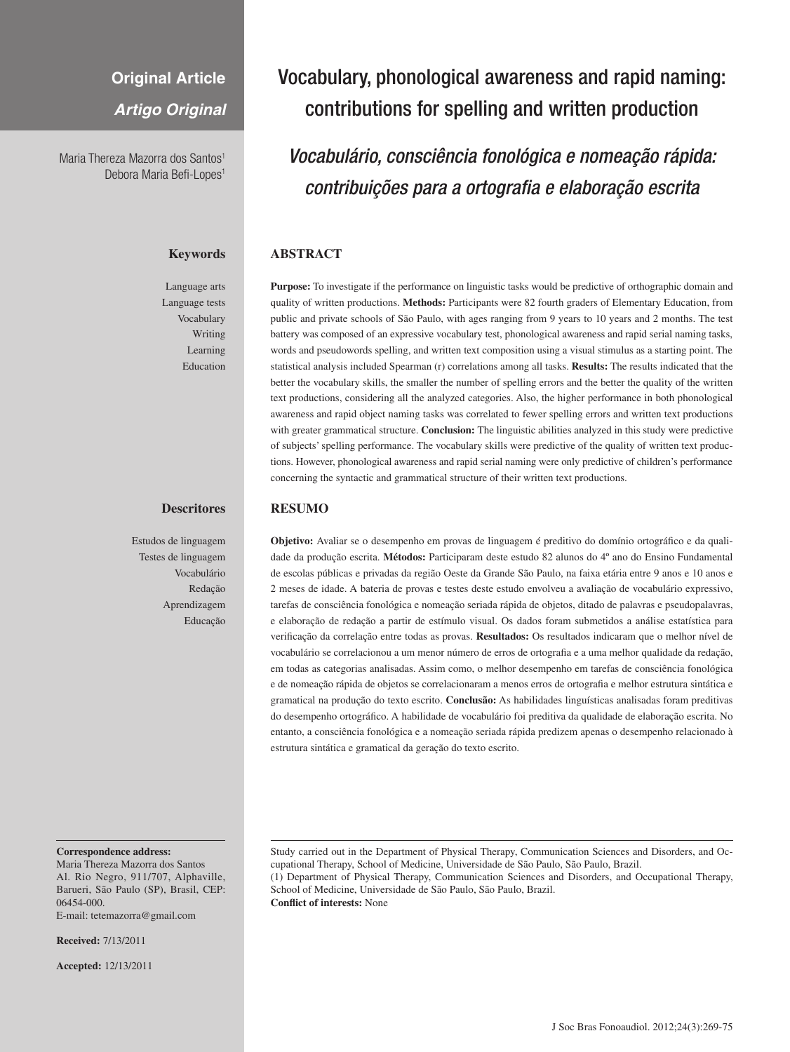# **Original Article**

*Artigo Original*

Maria Thereza Mazorra dos Santos<sup>1</sup> Debora Maria Befi-Lopes<sup>1</sup>

## **Keywords**

Language arts Language tests Vocabulary Writing Learning Education

#### **Descritores**

Estudos de linguagem Testes de linguagem Vocabulário Redação Aprendizagem Educação

#### **Correspondence address:**

Maria Thereza Mazorra dos Santos Al. Rio Negro, 911/707, Alphaville, Barueri, São Paulo (SP), Brasil, CEP: 06454-000.

E-mail: tetemazorra@gmail.com

**Received:** 7/13/2011

**Accepted:** 12/13/2011

# Vocabulary, phonological awareness and rapid naming: contributions for spelling and written production

*Vocabulário, consciência fonológica e nomeação rápida: contribuições para a ortografia e elaboração escrita*

# **ABSTRACT**

**Purpose:** To investigate if the performance on linguistic tasks would be predictive of orthographic domain and quality of written productions. **Methods:** Participants were 82 fourth graders of Elementary Education, from public and private schools of São Paulo, with ages ranging from 9 years to 10 years and 2 months. The test battery was composed of an expressive vocabulary test, phonological awareness and rapid serial naming tasks, words and pseudowords spelling, and written text composition using a visual stimulus as a starting point. The statistical analysis included Spearman (r) correlations among all tasks. **Results:** The results indicated that the better the vocabulary skills, the smaller the number of spelling errors and the better the quality of the written text productions, considering all the analyzed categories. Also, the higher performance in both phonological awareness and rapid object naming tasks was correlated to fewer spelling errors and written text productions with greater grammatical structure. **Conclusion:** The linguistic abilities analyzed in this study were predictive of subjects' spelling performance. The vocabulary skills were predictive of the quality of written text productions. However, phonological awareness and rapid serial naming were only predictive of children's performance concerning the syntactic and grammatical structure of their written text productions.

#### **RESUMO**

**Objetivo:** Avaliar se o desempenho em provas de linguagem é preditivo do domínio ortográfico e da qualidade da produção escrita. **Métodos:** Participaram deste estudo 82 alunos do 4º ano do Ensino Fundamental de escolas públicas e privadas da região Oeste da Grande São Paulo, na faixa etária entre 9 anos e 10 anos e 2 meses de idade. A bateria de provas e testes deste estudo envolveu a avaliação de vocabulário expressivo, tarefas de consciência fonológica e nomeação seriada rápida de objetos, ditado de palavras e pseudopalavras, e elaboração de redação a partir de estímulo visual. Os dados foram submetidos a análise estatística para verificação da correlação entre todas as provas. **Resultados:** Os resultados indicaram que o melhor nível de vocabulário se correlacionou a um menor número de erros de ortografia e a uma melhor qualidade da redação, em todas as categorias analisadas. Assim como, o melhor desempenho em tarefas de consciência fonológica e de nomeação rápida de objetos se correlacionaram a menos erros de ortografia e melhor estrutura sintática e gramatical na produção do texto escrito. **Conclusão:** As habilidades linguísticas analisadas foram preditivas do desempenho ortográfico. A habilidade de vocabulário foi preditiva da qualidade de elaboração escrita. No entanto, a consciência fonológica e a nomeação seriada rápida predizem apenas o desempenho relacionado à estrutura sintática e gramatical da geração do texto escrito.

Study carried out in the Department of Physical Therapy, Communication Sciences and Disorders, and Occupational Therapy, School of Medicine, Universidade de São Paulo, São Paulo, Brazil. (1) Department of Physical Therapy, Communication Sciences and Disorders, and Occupational Therapy,

School of Medicine, Universidade de São Paulo, São Paulo, Brazil. **Conflict of interests:** None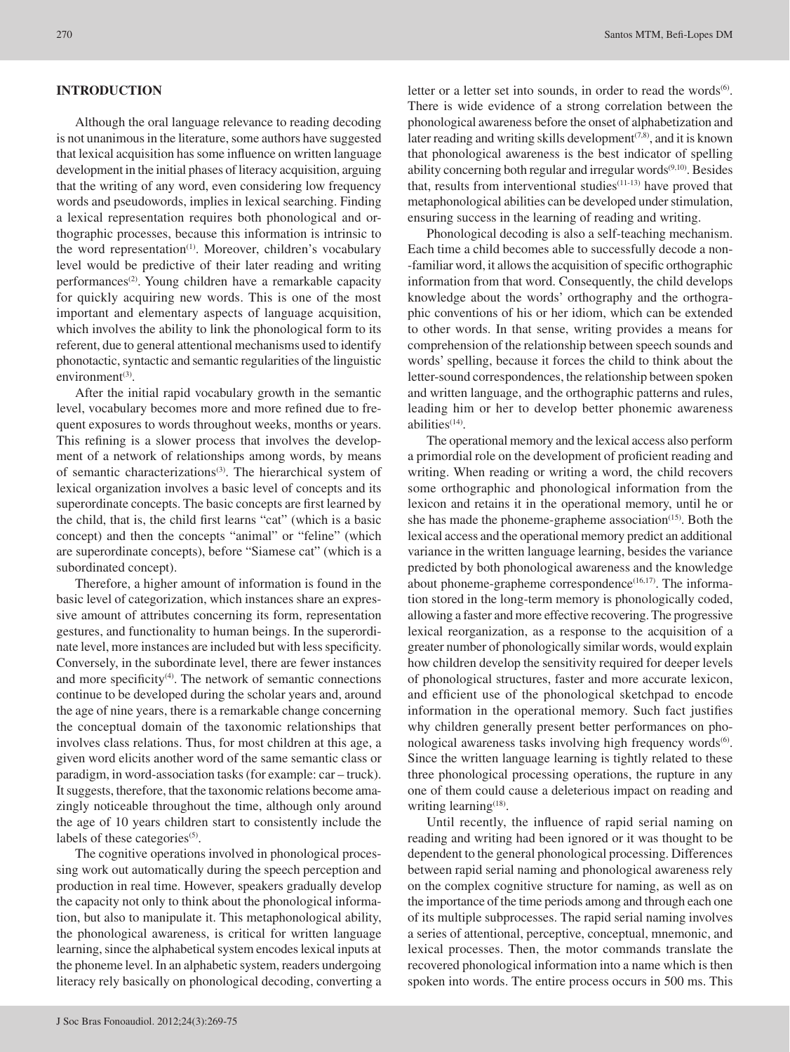## **INTRODUCTION**

Although the oral language relevance to reading decoding is not unanimous in the literature, some authors have suggested that lexical acquisition has some influence on written language development in the initial phases of literacy acquisition, arguing that the writing of any word, even considering low frequency words and pseudowords, implies in lexical searching. Finding a lexical representation requires both phonological and orthographic processes, because this information is intrinsic to the word representation<sup>(1)</sup>. Moreover, children's vocabulary level would be predictive of their later reading and writing performances<sup>(2)</sup>. Young children have a remarkable capacity for quickly acquiring new words. This is one of the most important and elementary aspects of language acquisition, which involves the ability to link the phonological form to its referent, due to general attentional mechanisms used to identify phonotactic, syntactic and semantic regularities of the linguistic environment<sup>(3)</sup>.

After the initial rapid vocabulary growth in the semantic level, vocabulary becomes more and more refined due to frequent exposures to words throughout weeks, months or years. This refining is a slower process that involves the development of a network of relationships among words, by means of semantic characterizations<sup>(3)</sup>. The hierarchical system of lexical organization involves a basic level of concepts and its superordinate concepts. The basic concepts are first learned by the child, that is, the child first learns "cat" (which is a basic concept) and then the concepts "animal" or "feline" (which are superordinate concepts), before "Siamese cat" (which is a subordinated concept).

Therefore, a higher amount of information is found in the basic level of categorization, which instances share an expressive amount of attributes concerning its form, representation gestures, and functionality to human beings. In the superordinate level, more instances are included but with less specificity. Conversely, in the subordinate level, there are fewer instances and more specificity $(4)$ . The network of semantic connections continue to be developed during the scholar years and, around the age of nine years, there is a remarkable change concerning the conceptual domain of the taxonomic relationships that involves class relations. Thus, for most children at this age, a given word elicits another word of the same semantic class or paradigm, in word-association tasks (for example: car – truck). It suggests, therefore, that the taxonomic relations become amazingly noticeable throughout the time, although only around the age of 10 years children start to consistently include the labels of these categories $(5)$ .

The cognitive operations involved in phonological processing work out automatically during the speech perception and production in real time. However, speakers gradually develop the capacity not only to think about the phonological information, but also to manipulate it. This metaphonological ability, the phonological awareness, is critical for written language learning, since the alphabetical system encodes lexical inputs at the phoneme level. In an alphabetic system, readers undergoing literacy rely basically on phonological decoding, converting a letter or a letter set into sounds, in order to read the words $<sup>(6)</sup>$ .</sup> There is wide evidence of a strong correlation between the phonological awareness before the onset of alphabetization and later reading and writing skills development<sup>(7,8)</sup>, and it is known that phonological awareness is the best indicator of spelling ability concerning both regular and irregular words<sup>(9,10)</sup>. Besides that, results from interventional studies $(11-13)$  have proved that metaphonological abilities can be developed under stimulation, ensuring success in the learning of reading and writing.

Phonological decoding is also a self-teaching mechanism. Each time a child becomes able to successfully decode a non- -familiar word, it allows the acquisition of specific orthographic information from that word. Consequently, the child develops knowledge about the words' orthography and the orthographic conventions of his or her idiom, which can be extended to other words. In that sense, writing provides a means for comprehension of the relationship between speech sounds and words' spelling, because it forces the child to think about the letter-sound correspondences, the relationship between spoken and written language, and the orthographic patterns and rules, leading him or her to develop better phonemic awareness abilities<sup>(14)</sup>.

The operational memory and the lexical access also perform a primordial role on the development of proficient reading and writing. When reading or writing a word, the child recovers some orthographic and phonological information from the lexicon and retains it in the operational memory, until he or she has made the phoneme-grapheme association<sup>(15)</sup>. Both the lexical access and the operational memory predict an additional variance in the written language learning, besides the variance predicted by both phonological awareness and the knowledge about phoneme-grapheme correspondence<sup>(16,17)</sup>. The information stored in the long-term memory is phonologically coded, allowing a faster and more effective recovering. The progressive lexical reorganization, as a response to the acquisition of a greater number of phonologically similar words, would explain how children develop the sensitivity required for deeper levels of phonological structures, faster and more accurate lexicon, and efficient use of the phonological sketchpad to encode information in the operational memory. Such fact justifies why children generally present better performances on phonological awareness tasks involving high frequency words $<sup>(6)</sup>$ .</sup> Since the written language learning is tightly related to these three phonological processing operations, the rupture in any one of them could cause a deleterious impact on reading and writing learning $(18)$ .

Until recently, the influence of rapid serial naming on reading and writing had been ignored or it was thought to be dependent to the general phonological processing. Differences between rapid serial naming and phonological awareness rely on the complex cognitive structure for naming, as well as on the importance of the time periods among and through each one of its multiple subprocesses. The rapid serial naming involves a series of attentional, perceptive, conceptual, mnemonic, and lexical processes. Then, the motor commands translate the recovered phonological information into a name which is then spoken into words. The entire process occurs in 500 ms. This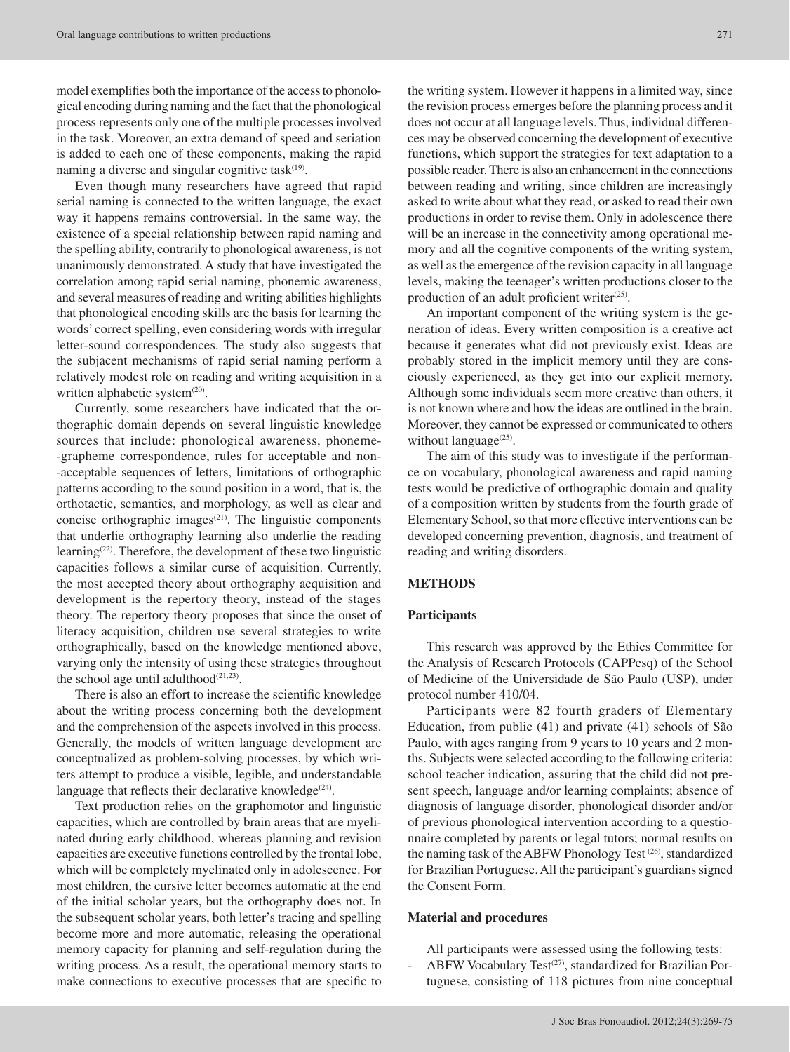model exemplifies both the importance of the access to phonological encoding during naming and the fact that the phonological process represents only one of the multiple processes involved in the task. Moreover, an extra demand of speed and seriation is added to each one of these components, making the rapid naming a diverse and singular cognitive task $(19)$ .

Even though many researchers have agreed that rapid serial naming is connected to the written language, the exact way it happens remains controversial. In the same way, the existence of a special relationship between rapid naming and the spelling ability, contrarily to phonological awareness, is not unanimously demonstrated. A study that have investigated the correlation among rapid serial naming, phonemic awareness, and several measures of reading and writing abilities highlights that phonological encoding skills are the basis for learning the words' correct spelling, even considering words with irregular letter-sound correspondences. The study also suggests that the subjacent mechanisms of rapid serial naming perform a relatively modest role on reading and writing acquisition in a written alphabetic system<sup>(20)</sup>.

Currently, some researchers have indicated that the orthographic domain depends on several linguistic knowledge sources that include: phonological awareness, phoneme- -grapheme correspondence, rules for acceptable and non- -acceptable sequences of letters, limitations of orthographic patterns according to the sound position in a word, that is, the orthotactic, semantics, and morphology, as well as clear and concise orthographic images<sup>(21)</sup>. The linguistic components that underlie orthography learning also underlie the reading learning(22). Therefore, the development of these two linguistic capacities follows a similar curse of acquisition. Currently, the most accepted theory about orthography acquisition and development is the repertory theory, instead of the stages theory. The repertory theory proposes that since the onset of literacy acquisition, children use several strategies to write orthographically, based on the knowledge mentioned above, varying only the intensity of using these strategies throughout the school age until adulthood $(21,23)$ .

There is also an effort to increase the scientific knowledge about the writing process concerning both the development and the comprehension of the aspects involved in this process. Generally, the models of written language development are conceptualized as problem-solving processes, by which writers attempt to produce a visible, legible, and understandable language that reflects their declarative knowledge<sup>(24)</sup>.

Text production relies on the graphomotor and linguistic capacities, which are controlled by brain areas that are myelinated during early childhood, whereas planning and revision capacities are executive functions controlled by the frontal lobe, which will be completely myelinated only in adolescence. For most children, the cursive letter becomes automatic at the end of the initial scholar years, but the orthography does not. In the subsequent scholar years, both letter's tracing and spelling become more and more automatic, releasing the operational memory capacity for planning and self-regulation during the writing process. As a result, the operational memory starts to make connections to executive processes that are specific to

the writing system. However it happens in a limited way, since the revision process emerges before the planning process and it does not occur at all language levels. Thus, individual differences may be observed concerning the development of executive functions, which support the strategies for text adaptation to a possible reader. There is also an enhancement in the connections between reading and writing, since children are increasingly asked to write about what they read, or asked to read their own productions in order to revise them. Only in adolescence there will be an increase in the connectivity among operational memory and all the cognitive components of the writing system, as well as the emergence of the revision capacity in all language levels, making the teenager's written productions closer to the production of an adult proficient writer $(25)$ .

An important component of the writing system is the generation of ideas. Every written composition is a creative act because it generates what did not previously exist. Ideas are probably stored in the implicit memory until they are consciously experienced, as they get into our explicit memory. Although some individuals seem more creative than others, it is not known where and how the ideas are outlined in the brain. Moreover, they cannot be expressed or communicated to others without language<sup>(25)</sup>.

The aim of this study was to investigate if the performance on vocabulary, phonological awareness and rapid naming tests would be predictive of orthographic domain and quality of a composition written by students from the fourth grade of Elementary School, so that more effective interventions can be developed concerning prevention, diagnosis, and treatment of reading and writing disorders.

## **METHODS**

#### **Participants**

This research was approved by the Ethics Committee for the Analysis of Research Protocols (CAPPesq) of the School of Medicine of the Universidade de São Paulo (USP), under protocol number 410/04.

Participants were 82 fourth graders of Elementary Education, from public (41) and private (41) schools of São Paulo, with ages ranging from 9 years to 10 years and 2 months. Subjects were selected according to the following criteria: school teacher indication, assuring that the child did not present speech, language and/or learning complaints; absence of diagnosis of language disorder, phonological disorder and/or of previous phonological intervention according to a questionnaire completed by parents or legal tutors; normal results on the naming task of the ABFW Phonology Test<sup>(26)</sup>, standardized for Brazilian Portuguese. All the participant's guardians signed the Consent Form.

### **Material and procedures**

All participants were assessed using the following tests:

ABFW Vocabulary Test<sup>(27)</sup>, standardized for Brazilian Portuguese, consisting of 118 pictures from nine conceptual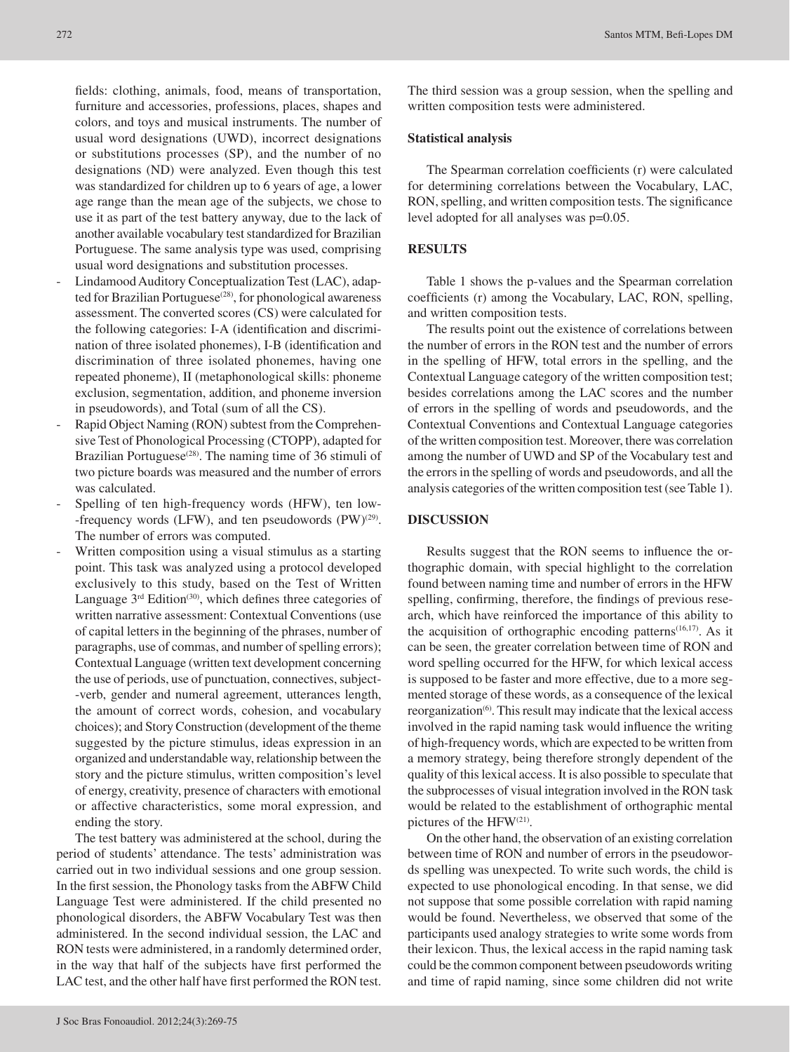fields: clothing, animals, food, means of transportation, furniture and accessories, professions, places, shapes and colors, and toys and musical instruments. The number of usual word designations (UWD), incorrect designations or substitutions processes (SP), and the number of no designations (ND) were analyzed. Even though this test was standardized for children up to 6 years of age, a lower age range than the mean age of the subjects, we chose to use it as part of the test battery anyway, due to the lack of another available vocabulary test standardized for Brazilian

Portuguese. The same analysis type was used, comprising

- usual word designations and substitution processes. Lindamood Auditory Conceptualization Test (LAC), adapted for Brazilian Portuguese<sup>(28)</sup>, for phonological awareness assessment. The converted scores (CS) were calculated for the following categories: I-A (identification and discrimination of three isolated phonemes), I-B (identification and discrimination of three isolated phonemes, having one repeated phoneme), II (metaphonological skills: phoneme exclusion, segmentation, addition, and phoneme inversion in pseudowords), and Total (sum of all the CS).
- Rapid Object Naming (RON) subtest from the Comprehensive Test of Phonological Processing (CTOPP), adapted for Brazilian Portuguese<sup>(28)</sup>. The naming time of 36 stimuli of two picture boards was measured and the number of errors was calculated.
- Spelling of ten high-frequency words (HFW), ten low--frequency words (LFW), and ten pseudowords (PW)<sup>(29)</sup>. The number of errors was computed.
- Written composition using a visual stimulus as a starting point. This task was analyzed using a protocol developed exclusively to this study, based on the Test of Written Language  $3<sup>rd</sup>$  Edition<sup>(30)</sup>, which defines three categories of written narrative assessment: Contextual Conventions (use of capital letters in the beginning of the phrases, number of paragraphs, use of commas, and number of spelling errors); Contextual Language (written text development concerning the use of periods, use of punctuation, connectives, subject- -verb, gender and numeral agreement, utterances length, the amount of correct words, cohesion, and vocabulary choices); and Story Construction (development of the theme suggested by the picture stimulus, ideas expression in an organized and understandable way, relationship between the story and the picture stimulus, written composition's level of energy, creativity, presence of characters with emotional or affective characteristics, some moral expression, and ending the story.

The test battery was administered at the school, during the period of students' attendance. The tests' administration was carried out in two individual sessions and one group session. In the first session, the Phonology tasks from the ABFW Child Language Test were administered. If the child presented no phonological disorders, the ABFW Vocabulary Test was then administered. In the second individual session, the LAC and RON tests were administered, in a randomly determined order, in the way that half of the subjects have first performed the LAC test, and the other half have first performed the RON test.

# **Statistical analysis**

The Spearman correlation coefficients (r) were calculated for determining correlations between the Vocabulary, LAC, RON, spelling, and written composition tests. The significance level adopted for all analyses was p=0.05.

# **RESULTS**

Table 1 shows the p-values and the Spearman correlation coefficients (r) among the Vocabulary, LAC, RON, spelling, and written composition tests.

The results point out the existence of correlations between the number of errors in the RON test and the number of errors in the spelling of HFW, total errors in the spelling, and the Contextual Language category of the written composition test; besides correlations among the LAC scores and the number of errors in the spelling of words and pseudowords, and the Contextual Conventions and Contextual Language categories of the written composition test. Moreover, there was correlation among the number of UWD and SP of the Vocabulary test and the errors in the spelling of words and pseudowords, and all the analysis categories of the written composition test (see Table 1).

## **DISCUSSION**

Results suggest that the RON seems to influence the orthographic domain, with special highlight to the correlation found between naming time and number of errors in the HFW spelling, confirming, therefore, the findings of previous research, which have reinforced the importance of this ability to the acquisition of orthographic encoding patterns<sup> $(16,17)$ </sup>. As it can be seen, the greater correlation between time of RON and word spelling occurred for the HFW, for which lexical access is supposed to be faster and more effective, due to a more segmented storage of these words, as a consequence of the lexical reorganization<sup>(6)</sup>. This result may indicate that the lexical access involved in the rapid naming task would influence the writing of high-frequency words, which are expected to be written from a memory strategy, being therefore strongly dependent of the quality of this lexical access. It is also possible to speculate that the subprocesses of visual integration involved in the RON task would be related to the establishment of orthographic mental pictures of the  $HFW<sup>(21)</sup>$ .

On the other hand, the observation of an existing correlation between time of RON and number of errors in the pseudowords spelling was unexpected. To write such words, the child is expected to use phonological encoding. In that sense, we did not suppose that some possible correlation with rapid naming would be found. Nevertheless, we observed that some of the participants used analogy strategies to write some words from their lexicon. Thus, the lexical access in the rapid naming task could be the common component between pseudowords writing and time of rapid naming, since some children did not write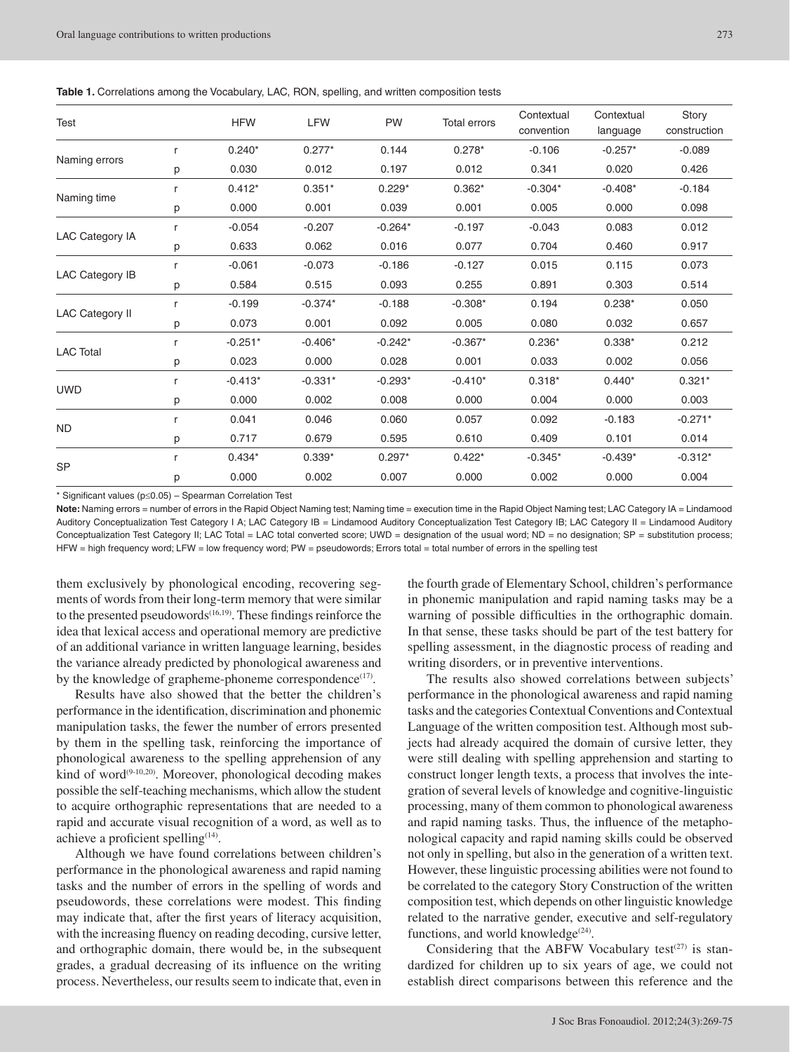**Table 1.** Correlations among the Vocabulary, LAC, RON, spelling, and written composition tests

| Test                   |   | <b>HFW</b> | <b>LFW</b> | <b>PW</b> | <b>Total errors</b> | Contextual<br>convention | Contextual<br>language | Story<br>construction |
|------------------------|---|------------|------------|-----------|---------------------|--------------------------|------------------------|-----------------------|
| Naming errors          | r | $0.240*$   | $0.277*$   | 0.144     | $0.278*$            | $-0.106$                 | $-0.257*$              | $-0.089$              |
|                        | р | 0.030      | 0.012      | 0.197     | 0.012               | 0.341                    | 0.020                  | 0.426                 |
| Naming time            | r | $0.412*$   | $0.351*$   | $0.229*$  | $0.362*$            | $-0.304*$                | $-0.408*$              | $-0.184$              |
|                        | р | 0.000      | 0.001      | 0.039     | 0.001               | 0.005                    | 0.000                  | 0.098                 |
| <b>LAC Category IA</b> | r | $-0.054$   | $-0.207$   | $-0.264*$ | $-0.197$            | $-0.043$                 | 0.083                  | 0.012                 |
|                        | р | 0.633      | 0.062      | 0.016     | 0.077               | 0.704                    | 0.460                  | 0.917                 |
| <b>LAC Category IB</b> | r | $-0.061$   | $-0.073$   | $-0.186$  | $-0.127$            | 0.015                    | 0.115                  | 0.073                 |
|                        | р | 0.584      | 0.515      | 0.093     | 0.255               | 0.891                    | 0.303                  | 0.514                 |
| <b>LAC Category II</b> | r | $-0.199$   | $-0.374*$  | $-0.188$  | $-0.308*$           | 0.194                    | $0.238*$               | 0.050                 |
|                        | р | 0.073      | 0.001      | 0.092     | 0.005               | 0.080                    | 0.032                  | 0.657                 |
| <b>LAC Total</b>       | r | $-0.251*$  | $-0.406*$  | $-0.242*$ | $-0.367*$           | $0.236*$                 | $0.338*$               | 0.212                 |
|                        | р | 0.023      | 0.000      | 0.028     | 0.001               | 0.033                    | 0.002                  | 0.056                 |
| <b>UWD</b>             | r | $-0.413*$  | $-0.331*$  | $-0.293*$ | $-0.410*$           | $0.318*$                 | $0.440*$               | $0.321*$              |
|                        | р | 0.000      | 0.002      | 0.008     | 0.000               | 0.004                    | 0.000                  | 0.003                 |
| <b>ND</b>              | r | 0.041      | 0.046      | 0.060     | 0.057               | 0.092                    | $-0.183$               | $-0.271*$             |
|                        | р | 0.717      | 0.679      | 0.595     | 0.610               | 0.409                    | 0.101                  | 0.014                 |
| <b>SP</b>              |   | $0.434*$   | $0.339*$   | $0.297*$  | $0.422*$            | $-0.345*$                | $-0.439*$              | $-0.312*$             |
|                        | р | 0.000      | 0.002      | 0.007     | 0.000               | 0.002                    | 0.000                  | 0.004                 |

\* Significant values (p≤0.05) – Spearman Correlation Test

Note: Naming errors = number of errors in the Rapid Object Naming test; Naming time = execution time in the Rapid Object Naming test; LAC Category IA = Lindamood Auditory Conceptualization Test Category I A; LAC Category IB = Lindamood Auditory Conceptualization Test Category IB; LAC Category II = Lindamood Auditory Conceptualization Test Category II; LAC Total = LAC total converted score; UWD = designation of the usual word; ND = no designation; SP = substitution process; HFW = high frequency word; LFW = low frequency word; PW = pseudowords; Errors total = total number of errors in the spelling test

them exclusively by phonological encoding, recovering segments of words from their long-term memory that were similar to the presented pseudowords<sup>(16,19)</sup>. These findings reinforce the idea that lexical access and operational memory are predictive of an additional variance in written language learning, besides the variance already predicted by phonological awareness and by the knowledge of grapheme-phoneme correspondence<sup>(17)</sup>.

Results have also showed that the better the children's performance in the identification, discrimination and phonemic manipulation tasks, the fewer the number of errors presented by them in the spelling task, reinforcing the importance of phonological awareness to the spelling apprehension of any kind of word<sup>(9-10,20)</sup>. Moreover, phonological decoding makes possible the self-teaching mechanisms, which allow the student to acquire orthographic representations that are needed to a rapid and accurate visual recognition of a word, as well as to achieve a proficient spelling $(14)$ .

Although we have found correlations between children's performance in the phonological awareness and rapid naming tasks and the number of errors in the spelling of words and pseudowords, these correlations were modest. This finding may indicate that, after the first years of literacy acquisition, with the increasing fluency on reading decoding, cursive letter, and orthographic domain, there would be, in the subsequent grades, a gradual decreasing of its influence on the writing process. Nevertheless, our results seem to indicate that, even in the fourth grade of Elementary School, children's performance in phonemic manipulation and rapid naming tasks may be a warning of possible difficulties in the orthographic domain. In that sense, these tasks should be part of the test battery for spelling assessment, in the diagnostic process of reading and writing disorders, or in preventive interventions.

The results also showed correlations between subjects' performance in the phonological awareness and rapid naming tasks and the categories Contextual Conventions and Contextual Language of the written composition test. Although most subjects had already acquired the domain of cursive letter, they were still dealing with spelling apprehension and starting to construct longer length texts, a process that involves the integration of several levels of knowledge and cognitive-linguistic processing, many of them common to phonological awareness and rapid naming tasks. Thus, the influence of the metaphonological capacity and rapid naming skills could be observed not only in spelling, but also in the generation of a written text. However, these linguistic processing abilities were not found to be correlated to the category Story Construction of the written composition test, which depends on other linguistic knowledge related to the narrative gender, executive and self-regulatory functions, and world knowledge $(24)$ .

Considering that the ABFW Vocabulary test $(27)$  is standardized for children up to six years of age, we could not establish direct comparisons between this reference and the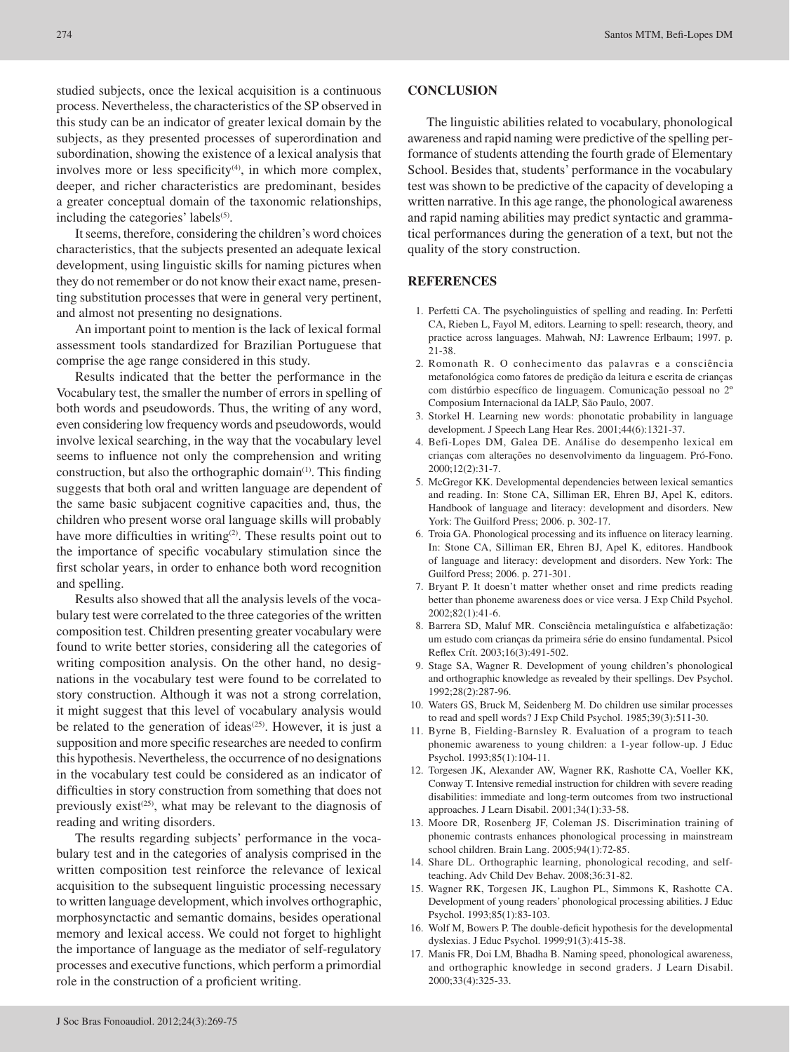studied subjects, once the lexical acquisition is a continuous process. Nevertheless, the characteristics of the SP observed in this study can be an indicator of greater lexical domain by the subjects, as they presented processes of superordination and subordination, showing the existence of a lexical analysis that involves more or less specificity $(4)$ , in which more complex, deeper, and richer characteristics are predominant, besides a greater conceptual domain of the taxonomic relationships, including the categories' labels $(5)$ .

It seems, therefore, considering the children's word choices characteristics, that the subjects presented an adequate lexical development, using linguistic skills for naming pictures when they do not remember or do not know their exact name, presenting substitution processes that were in general very pertinent, and almost not presenting no designations.

An important point to mention is the lack of lexical formal assessment tools standardized for Brazilian Portuguese that comprise the age range considered in this study.

Results indicated that the better the performance in the Vocabulary test, the smaller the number of errors in spelling of both words and pseudowords. Thus, the writing of any word, even considering low frequency words and pseudowords, would involve lexical searching, in the way that the vocabulary level seems to influence not only the comprehension and writing construction, but also the orthographic domain<sup> $(1)$ </sup>. This finding suggests that both oral and written language are dependent of the same basic subjacent cognitive capacities and, thus, the children who present worse oral language skills will probably have more difficulties in writing<sup>(2)</sup>. These results point out to the importance of specific vocabulary stimulation since the first scholar years, in order to enhance both word recognition and spelling.

Results also showed that all the analysis levels of the vocabulary test were correlated to the three categories of the written composition test. Children presenting greater vocabulary were found to write better stories, considering all the categories of writing composition analysis. On the other hand, no designations in the vocabulary test were found to be correlated to story construction. Although it was not a strong correlation, it might suggest that this level of vocabulary analysis would be related to the generation of ideas<sup>(25)</sup>. However, it is just a supposition and more specific researches are needed to confirm this hypothesis. Nevertheless, the occurrence of no designations in the vocabulary test could be considered as an indicator of difficulties in story construction from something that does not previously exist<sup> $(25)$ </sup>, what may be relevant to the diagnosis of reading and writing disorders.

The results regarding subjects' performance in the vocabulary test and in the categories of analysis comprised in the written composition test reinforce the relevance of lexical acquisition to the subsequent linguistic processing necessary to written language development, which involves orthographic, morphosynctactic and semantic domains, besides operational memory and lexical access. We could not forget to highlight the importance of language as the mediator of self-regulatory processes and executive functions, which perform a primordial role in the construction of a proficient writing.

### **CONCLUSION**

The linguistic abilities related to vocabulary, phonological awareness and rapid naming were predictive of the spelling performance of students attending the fourth grade of Elementary School. Besides that, students' performance in the vocabulary test was shown to be predictive of the capacity of developing a written narrative. In this age range, the phonological awareness and rapid naming abilities may predict syntactic and grammatical performances during the generation of a text, but not the quality of the story construction.

### **REFERENCES**

- 1. Perfetti CA. The psycholinguistics of spelling and reading. In: Perfetti CA, Rieben L, Fayol M, editors. Learning to spell: research, theory, and practice across languages. Mahwah, NJ: Lawrence Erlbaum; 1997. p. 21-38.
- 2. Romonath R. O conhecimento das palavras e a consciência metafonológica como fatores de predição da leitura e escrita de crianças com distúrbio específico de linguagem. Comunicação pessoal no 2º Composium Internacional da IALP, São Paulo, 2007.
- 3. Storkel H. Learning new words: phonotatic probability in language development. J Speech Lang Hear Res. 2001;44(6):1321-37.
- 4. Befi-Lopes DM, Galea DE. Análise do desempenho lexical em crianças com alterações no desenvolvimento da linguagem. Pró-Fono. 2000;12(2):31-7.
- 5. McGregor KK. Developmental dependencies between lexical semantics and reading. In: Stone CA, Silliman ER, Ehren BJ, Apel K, editors. Handbook of language and literacy: development and disorders. New York: The Guilford Press; 2006. p. 302-17.
- 6. Troia GA. Phonological processing and its influence on literacy learning. In: Stone CA, Silliman ER, Ehren BJ, Apel K, editores. Handbook of language and literacy: development and disorders. New York: The Guilford Press; 2006. p. 271-301.
- 7. Bryant P. It doesn't matter whether onset and rime predicts reading better than phoneme awareness does or vice versa. J Exp Child Psychol. 2002;82(1):41-6.
- 8. Barrera SD, Maluf MR. Consciência metalinguística e alfabetização: um estudo com crianças da primeira série do ensino fundamental. Psicol Reflex Crít. 2003;16(3):491-502.
- 9. Stage SA, Wagner R. Development of young children's phonological and orthographic knowledge as revealed by their spellings. Dev Psychol. 1992;28(2):287-96.
- 10. Waters GS, Bruck M, Seidenberg M. Do children use similar processes to read and spell words? J Exp Child Psychol. 1985;39(3):511-30.
- 11. Byrne B, Fielding-Barnsley R. Evaluation of a program to teach phonemic awareness to young children: a 1-year follow-up. J Educ Psychol. 1993;85(1):104-11.
- 12. Torgesen JK, Alexander AW, Wagner RK, Rashotte CA, Voeller KK, Conway T. Intensive remedial instruction for children with severe reading disabilities: immediate and long-term outcomes from two instructional approaches. J Learn Disabil. 2001;34(1):33-58.
- 13. Moore DR, Rosenberg JF, Coleman JS. Discrimination training of phonemic contrasts enhances phonological processing in mainstream school children. Brain Lang. 2005;94(1):72-85.
- 14. Share DL. Orthographic learning, phonological recoding, and selfteaching. Adv Child Dev Behav. 2008;36:31-82.
- 15. Wagner RK, Torgesen JK, Laughon PL, Simmons K, Rashotte CA. Development of young readers' phonological processing abilities. J Educ Psychol. 1993;85(1):83-103.
- 16. Wolf M, Bowers P. The double-deficit hypothesis for the developmental dyslexias. J Educ Psychol. 1999;91(3):415-38.
- 17. Manis FR, Doi LM, Bhadha B. Naming speed, phonological awareness, and orthographic knowledge in second graders. J Learn Disabil. 2000;33(4):325-33.